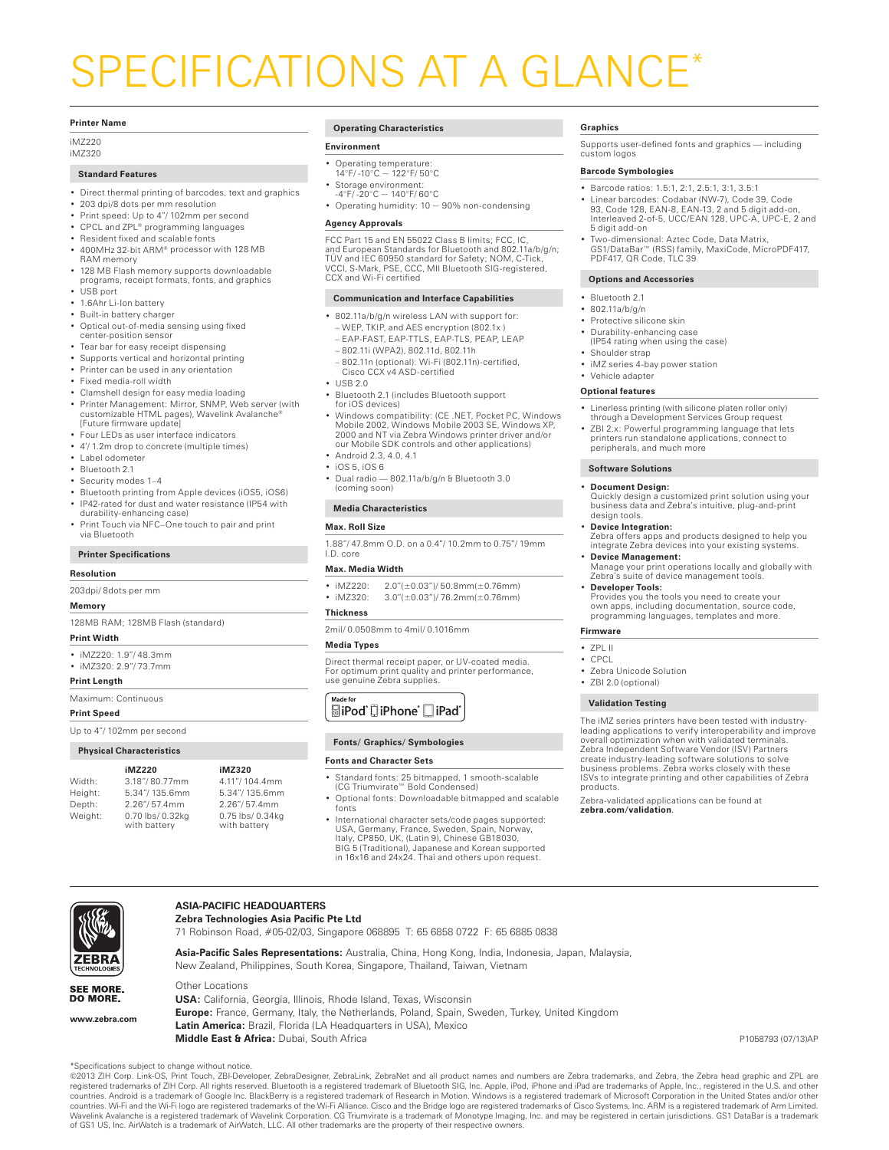# SPECIFICATIONS AT A GLANCE\*

#### **Printer Name**

iMZ220 iMZ320

#### **Standard Features**

- Direct thermal printing of barcodes, text and graphics
- • 203 dpi/8 dots per mm resolution
- • Print speed: Up to 4"/ 102mm per second
- CPCL and ZPL® programming languages
- Resident fixed and scalable fonts 400MHz 32-bit ARM® processor with 128 MB RAM memory
- • 128 MB Flash memory supports downloadable programs, receipt formats, fonts, and graphics
- • USB port
- 1.6Ahr Li-Ion battery
- • Built-in battery charger
- • Optical out-of-media sensing using fixed center-position sensor
- • Tear bar for easy receipt dispensing
- • Supports vertical and horizontal printing
- • Printer can be used in any orientation
- • Fixed media-roll width
- Clamshell design for easy media loading • Printer Management: Mirror, SNMP, Web server (with customizable HTML pages), Wavelink Avalanche® [Future firmware update]
- Four LEDs as user interface indicators
- • 4'/ 1.2m drop to concrete (multiple times)
- • Label odometer
- Bluetooth 2.1
- Security modes 1-4
- • Bluetooth printing from Apple devices (iOS5, iOS6)
- • IP42-rated for dust and water resistance (IP54 with durability-enhancing case)
- Print Touch via NFC–One touch to pair and print via Bluetooth

#### **Printer Specifications**

#### **Resolution**

203dpi/ 8dots per mm

#### **Memory**

128MB RAM; 128MB Flash (standard)

#### **Print Width**

- • iMZ220: 1.9"/ 48.3mm
- • iMZ320: 2.9"/ 73.7mm

#### **Print Length**

Maximum: Continuous

#### **Print Speed**

**www.zebra.com**

**ZEBRA** 

SEE MORE. DO MORE.

Up to 4"/ 102mm per second

#### **Physical Characteristics**

|         | iMZ220                          | iMZ320                           |
|---------|---------------------------------|----------------------------------|
|         |                                 |                                  |
| Width:  | 3.18"/80.77mm                   | 4.11"/104.4mm                    |
| Height: | 5.34"/135.6mm                   | 5.34"/135.6mm                    |
| Depth:  | 2.26"/57.4mm                    | 2.26"/57.4mm                     |
| Weight: | 0.70 lbs/0.32kg<br>with battery | 0.75 lbs/ 0.34kg<br>with battery |
|         |                                 |                                  |

\*Specifications subject to change without notice.

of GS1 US, Inc. AirWatch is a trademark of AirWatch, LLC. All other trademarks are the property of their respective owners.

**ASIA-PACIFIC HEADQUARTERS Zebra Technologies Asia Pacific Pte Ltd** 

Other Locations

#### **Operating Characteristics**

#### **Environment**

- • Operating temperature: 14°F/ -10°C ~ 122°F/ 50°C
- 
- Storage environment:<br> $-4^{\circ}F/ -20^{\circ}C \sim 140^{\circ}F/ 60^{\circ}C$
- Operating humidity:  $10 \sim 90\%$  non-condensing

#### **Agency Approvals**

FCC Part 15 and EN 55022 Class B limits; FCC, IC, and European Standards for Bluetooth and 802.11a/b/g/n; TÜV and IEC 60950 standard for Safety; NOM, C-Tick, VCCI, S-Mark, PSE, CCC, MII Bluetooth SIG-registered, CCX and Wi-Fi certified

#### **Communication and Interface Capabilities**

- • 802.11a/b/g/n wireless LAN with support for: – WEP, TKIP, and AES encryption (802.1x )
- EAP-FAST, EAP-TTLS, EAP-TLS, PEAP, LEAP
- 802.11i (WPA2), 802.11d, 802.11h
- 802.11n (optional): Wi-Fi (802.11n)-certified, Cisco CCX v4 ASD-certified
- • USB 2.0
- Bluetooth 2.1 (includes Bluetooth support for iOS devices)
- • Windows compatibility: (CE .NET, Pocket PC, Windows Mobile 2002, Windows Mobile 2003 SE, Windows XP, 2000 and NT via Zebra Windows printer driver and/or our Mobile SDK controls and other applications)
- Android 2.3, 4.0, 4.1
- • iOS 5, iOS 6
- • Dual radio 802.11a/b/g/n & Bluetooth 3.0 (coming soon)

#### **Media Characteristics**

**Max. Roll Size**

1.88"/ 47.8mm O.D. on a 0.4"/ 10.2mm to 0.75"/ 19mm I.D. core

### **Max. Media Width**

- 
- $\frac{1}{2}$  iMZ220:  $2.0''(\pm 0.03'')/50.8$ mm( $\pm 0.76$ mm)<br>•  $\frac{1}{2}$  iMZ320: 3.0"(+0.03")/76.2mm(+0.76mm)  $3.0''(\pm0.03')/76.2$ mm( $\pm0.76$ mm)

#### **Thickness**

2mil/ 0.0508mm to 4mil/ 0.1016mm

#### **Media Types**

### Direct thermal receipt paper, or UV-coated media. For optimum print quality and printer performance, use genuine Zebra supplies.

Made for *<u></u>* aiPod DiPhone DiPad

#### **Fonts/ Graphics/ Symbologies**

#### **Fonts and Character Sets**

71 Robinson Road, #05-02/03, Singapore 068895 T: 65 6858 0722 F: 65 6885 0838

New Zealand, Philippines, South Korea, Singapore, Thailand, Taiwan, Vietnam

**USA:** California, Georgia, Illinois, Rhode Island, Texas, Wisconsin

**Latin America:** Brazil, Florida (LA Headquarters in USA), Mexico

**Asia-Pacific Sales Representations:** Australia, China, Hong Kong, India, Indonesia, Japan, Malaysia,

**Europe:** France, Germany, Italy, the Netherlands, Poland, Spain, Sweden, Turkey, United Kingdom

- • Standard fonts: 25 bitmapped, 1 smooth-scalable (CG Triumvirate™ Bold Condensed)
- • Optional fonts: Downloadable bitmapped and scalable fonts

@2013 ZIH Corp. Link-OS, Print Touch, ZBI-Developer, ZebraDesigner, ZebraLink, ZebraNet and all product names and numbers are Zebra trademarks, and Zebra, the Zebra head graphic and ZPL are registered trademarks of ZIH Cor

**Middle East & Africa:** Dubai, South Africa P1058793 (07/13)AP

• International character sets/code pages supported: USA, Germany, France, Sweden, Spain, Norway, Italy, CP850, UK, (Latin 9), Chinese GB18030, BIG 5 (Traditional), Japanese and Korean supported in 16x16 and 24x24. Thai and others upon request.

#### **Graphics**

Supports user-defined fonts and graphics — including custom logos

#### **Barcode Symbologies**

- • Barcode ratios: 1.5:1, 2:1, 2.5:1, 3:1, 3.5:1
- • Linear barcodes: Codabar (NW-7), Code 39, Code 93, Code 128, EAN-8, EAN-13, 2 and 5 digit add-on, Interleaved 2-of-5, UCC/EAN 128, UPC-A, UPC-E, 2 and
- 5 digit add-on Two-dimensional: Aztec Code, Data Matrix, GS1/DataBar™ (RSS) family, MaxiCode, MicroPDF417, PDF417, QR Code, TLC 39

#### **Options and Accessories**

- Bluetooth 2.1
- • 802.11a/b/g/n
- Protective silicone skin
- • Durability-enhancing case (IP54 rating when using the case)
- Shoulder strap
- iMZ series 4-bay power station
- Vehicle adapter

#### **Optional features**

- • Linerless printing (with silicone platen roller only) through a Development Services Group request
- • ZBI 2.x: Powerful programming language that lets printers run standalone applications, connect to peripherals, and much more

#### **Software Solutions**

**Document Design:** 

Quickly design a customized print solution using your business data and Zebra's intuitive, plug-and-print design tools.

- • **Device Integration:**  Zebra offers apps and products designed to help you integrate Zebra devices into your existing systems.
- **Device Management:** Manage your print operations locally and globally with Zebra's suite of device management tools.
- **Developer Tools:** Provides you the tools you need to create your own apps, including documentation, source code, programming languages, templates and more.

The iMZ series printers have been tested with industryleading applications to verify interoperability and improve overall optimization when with validated terminals. Zebra Independent Software Vendor (ISV) Partners create industry-leading software solutions to solve business problems. Zebra works closely with these ISVs to integrate printing and other capabilities of Zebra

Zebra-validated applications can be found at

### **Firmware**

• Zebra Unicode Solution • ZBI 2.0 (optional) **Validation Testing**

• ZPL II **CPCI** 

products.

**zebra.com/validation**.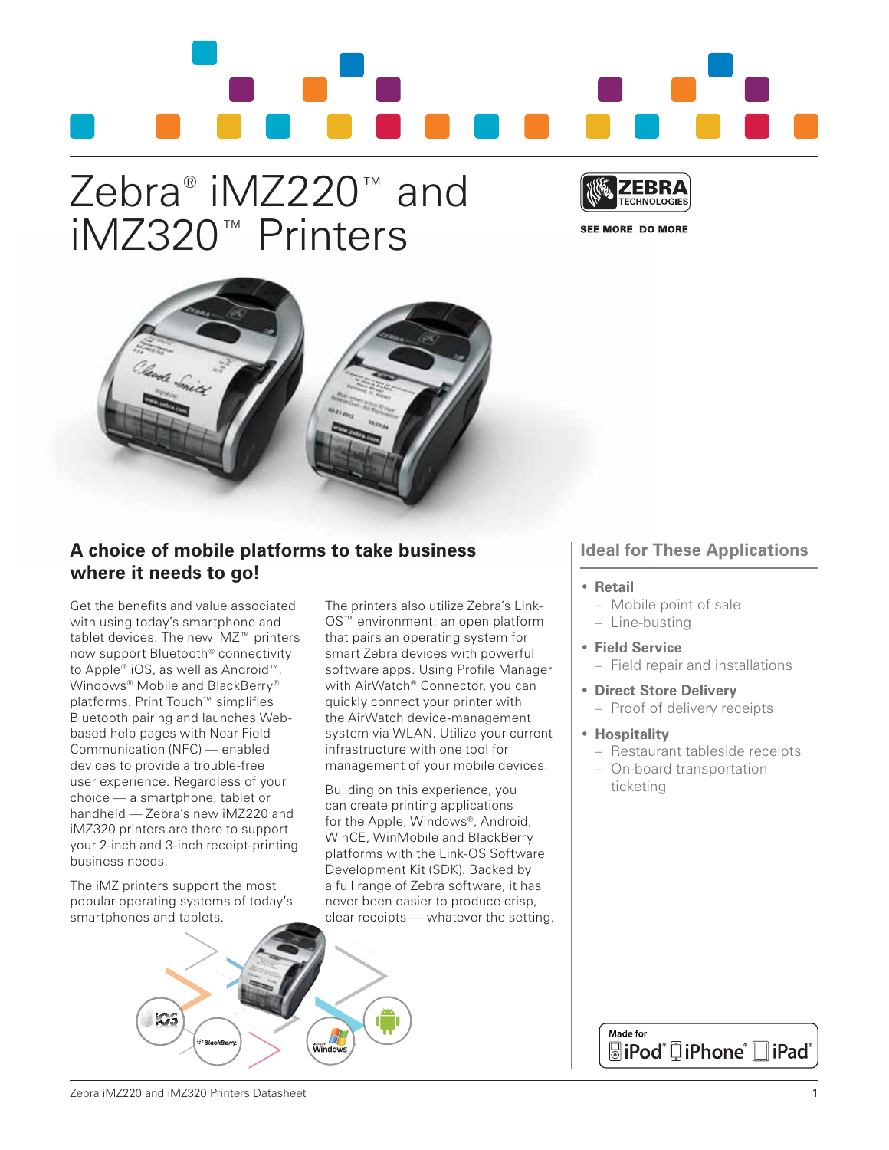# Zebra® iMZ220™ and iMZ320™ Printers



SEE MORE, DO MORE,



## **A choice of mobile platforms to take business where it needs to go!**

Get the benefits and value associated with using today's smartphone and tablet devices. The new iMZ™ printers now support Bluetooth® connectivity to Apple® iOS, as well as Android™, Windows<sup>®</sup> Mobile and BlackBerry<sup>®</sup> platforms. Print Touch™ simplifies Bluetooth pairing and launches Webbased help pages with Near Field Communication (NFC) — enabled devices to provide a trouble-free user experience. Regardless of your choice — a smartphone, tablet or handheld — Zebra's new iMZ220 and iMZ320 printers are there to support your 2-inch and 3-inch receipt-printing business needs.

The iMZ printers support the most popular operating systems of today's smartphones and tablets.

The printers also utilize Zebra's Link-OS™ environment: an open platform that pairs an operating system for smart Zebra devices with powerful software apps. Using Profile Manager with AirWatch® Connector, you can quickly connect your printer with the AirWatch device-management system via WLAN. Utilize your current infrastructure with one tool for management of your mobile devices.

Building on this experience, you can create printing applications for the Apple, Windows®, Android, WinCE, WinMobile and BlackBerry platforms with the Link-OS Software Development Kit (SDK). Backed by a full range of Zebra software, it has never been easier to produce crisp, clear receipts — whatever the setting.

## **Ideal for These Applications**

- **• Retail**
	- Mobile point of sale – Line-busting
- **• Field Service**
- Field repair and installations
- **• Direct Store Delivery** – Proof of delivery receipts
- **• Hospitality**
	- Restaurant tableside receipts
	- On-board transportation ticketing



Made for **SiPod**<sup>®</sup> [iPhone® iPad®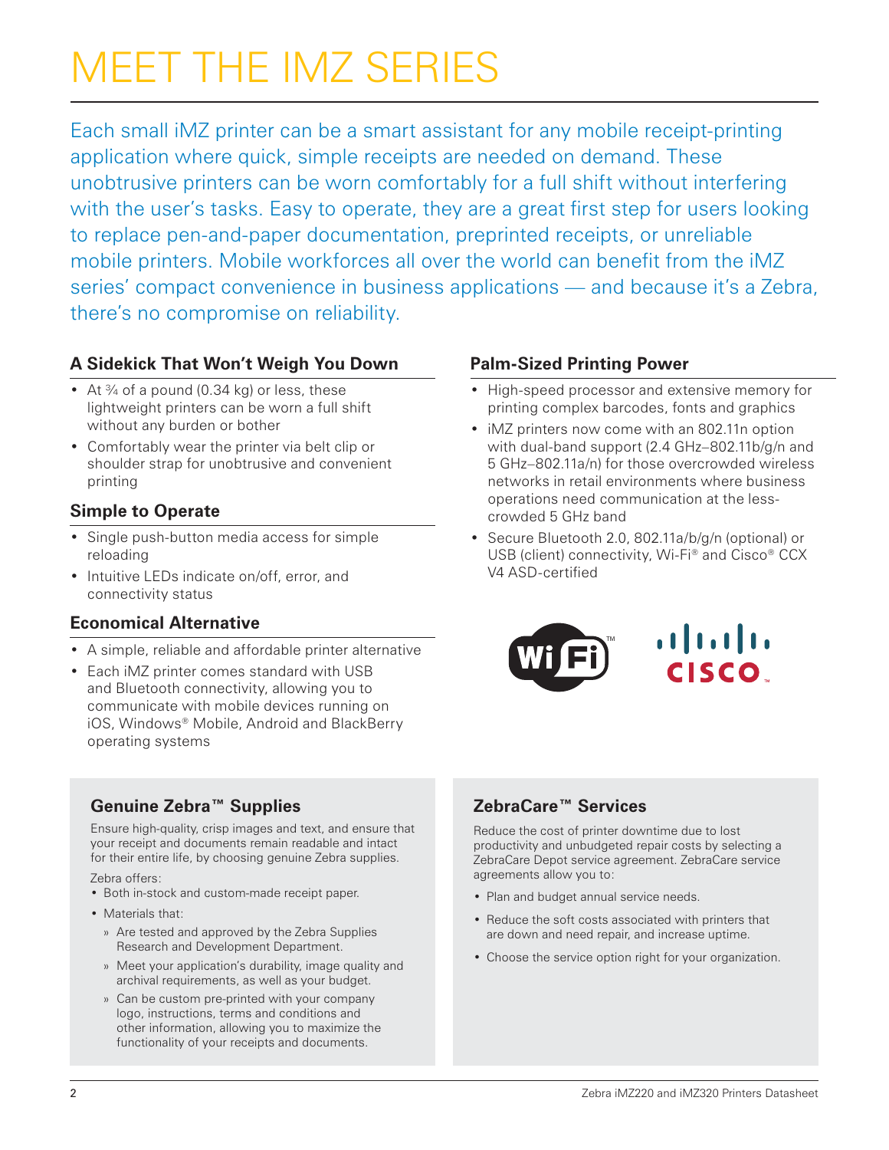# Meet the iMZ series

Each small iMZ printer can be a smart assistant for any mobile receipt-printing application where quick, simple receipts are needed on demand. These unobtrusive printers can be worn comfortably for a full shift without interfering with the user's tasks. Easy to operate, they are a great first step for users looking to replace pen-and-paper documentation, preprinted receipts, or unreliable mobile printers. Mobile workforces all over the world can benefit from the iMZ series' compact convenience in business applications — and because it's a Zebra, there's no compromise on reliability.

## **A Sidekick That Won't Weigh You Down**

- At  $\frac{3}{4}$  of a pound (0.34 kg) or less, these lightweight printers can be worn a full shift without any burden or bother
- • Comfortably wear the printer via belt clip or shoulder strap for unobtrusive and convenient printing

## **Simple to Operate**

- Single push-button media access for simple reloading
- Intuitive LEDs indicate on/off, error, and connectivity status

## **Economical Alternative**

- A simple, reliable and affordable printer alternative
- Each iMZ printer comes standard with USB and Bluetooth connectivity, allowing you to communicate with mobile devices running on iOS, Windows® Mobile, Android and BlackBerry operating systems

## **Genuine Zebra™ Supplies**

Ensure high-quality, crisp images and text, and ensure that your receipt and documents remain readable and intact for their entire life, by choosing genuine Zebra supplies.

Zebra offers:

- Both in-stock and custom-made receipt paper.
- Materials that:
	- » Are tested and approved by the Zebra Supplies Research and Development Department.
	- » Meet your application's durability, image quality and archival requirements, as well as your budget.
	- » Can be custom pre-printed with your company logo, instructions, terms and conditions and other information, allowing you to maximize the functionality of your receipts and documents.

## **Palm-Sized Printing Power**

- High-speed processor and extensive memory for printing complex barcodes, fonts and graphics
- iMZ printers now come with an 802.11n option with dual-band support (2.4 GHz–802.11b/g/n and 5 GHz–802.11a/n) for those overcrowded wireless networks in retail environments where business operations need communication at the lesscrowded 5 GHz band
- Secure Bluetooth 2.0, 802.11a/b/g/n (optional) or USB (client) connectivity, Wi-Fi<sup>®</sup> and Cisco<sup>®</sup> CCX V4 ASD-certified



## **ZebraCare™ Services**

Reduce the cost of printer downtime due to lost productivity and unbudgeted repair costs by selecting a ZebraCare Depot service agreement. ZebraCare service agreements allow you to:

- Plan and budget annual service needs.
- Reduce the soft costs associated with printers that are down and need repair, and increase uptime.
- Choose the service option right for your organization.